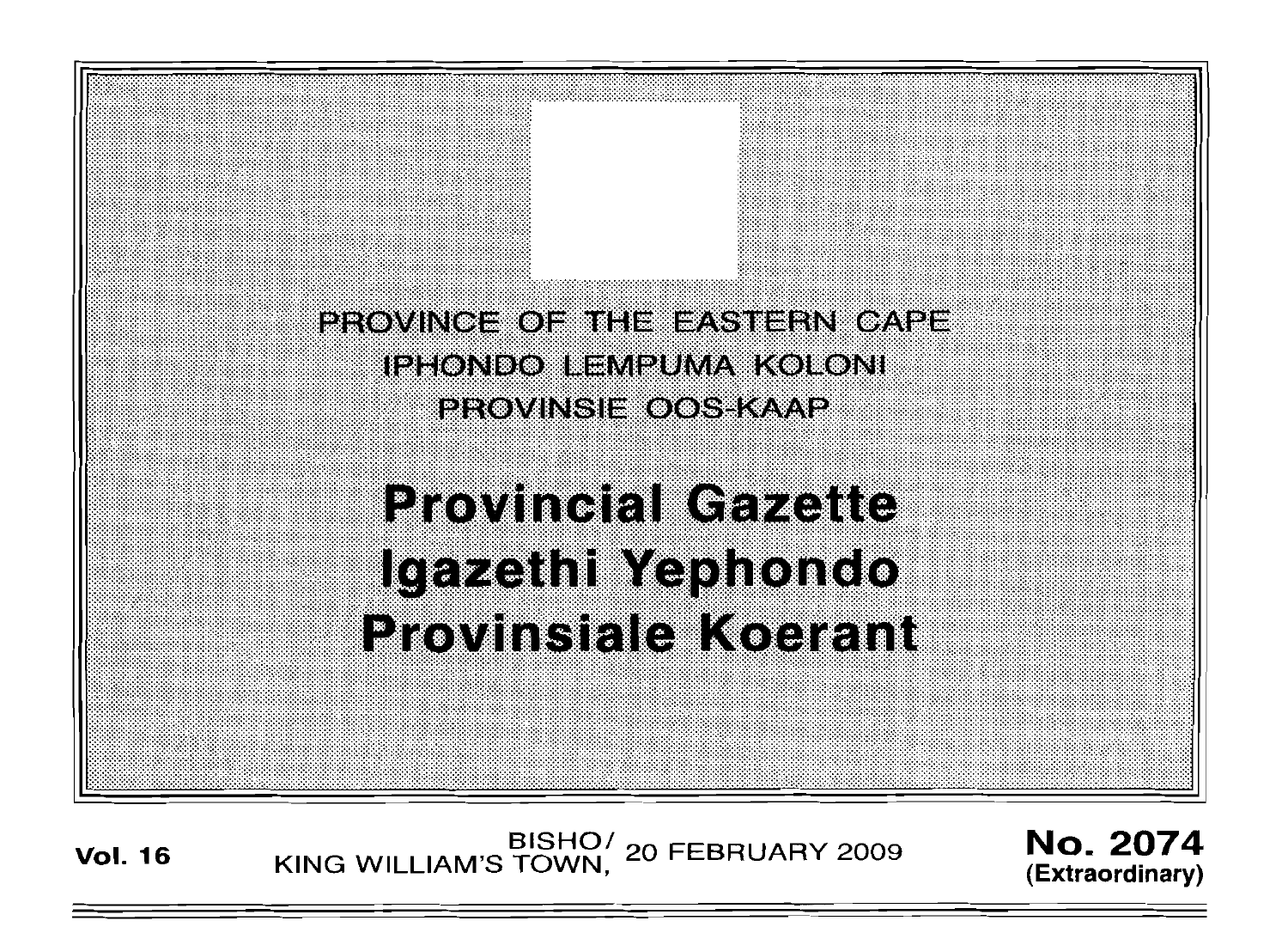**PROVINCE OF THE EASTERN CAPE** IPHONDO LEMPUMA KOLONI PROVINSIE OOS KAAP

**Provincial Gazette** Igazethi Yephondo **Provinsiale Koerant** 

EISHO<sup>/</sup> 20 FEBRUARY 2009 **No. 2074**<br>
KING WILLIAM'S TOWN, 20 FEBRUARY 2009

**(Extraordinary)**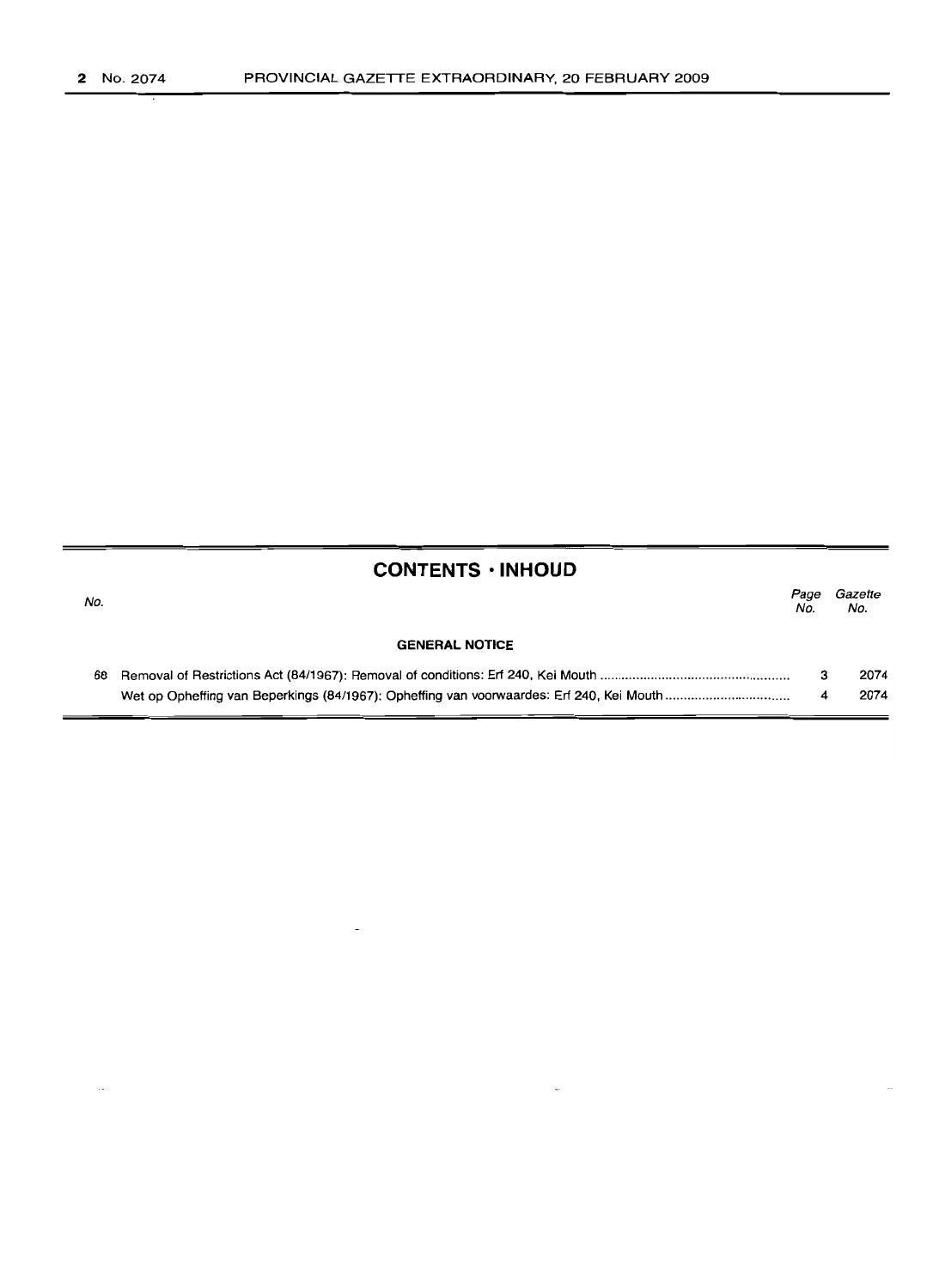## **CONTENTS· INHOUD**

| No. |                       | Page<br>No. | Gazette<br>No. |
|-----|-----------------------|-------------|----------------|
|     | <b>GENERAL NOTICE</b> |             |                |
| 68. |                       |             | 2074           |
|     |                       | 4           | 2074           |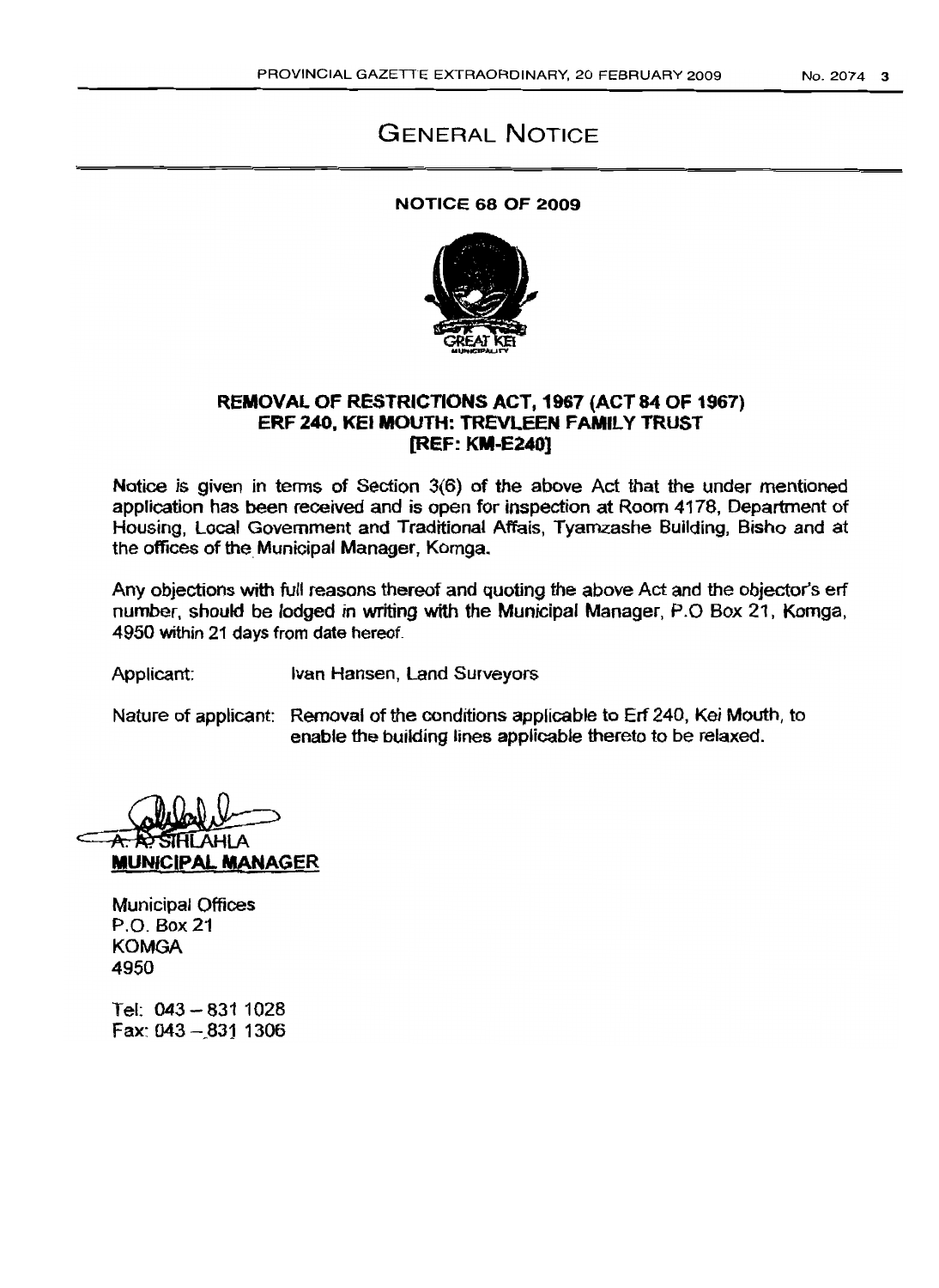# GENERAL NOTICE

### NOTICE 68 OF 2009



### REMOVAL OF RESTRICTIONS ACT, 1967 (ACT 84 OF 1967) ERF 240, KEI MOUTH: TREVLEEN FAMILY TRUST [REF: KM-E240)

Notice is given in terms of Section 3(6) of the above Act that the under mentioned application has been received and is open for inspection at Room 4178, Department of Housing, Local Government and Traditional Affais, Tyamzashe Building, Bisho and at the offices of the. Municipal Manager, Komga.

Any objections with full reasons thereof and quoting the above Act and the objector's erf number, should be lodged in writing with the Municipal Manager, P.O Box 21, Komga. 4950 within 21 days from date hereof.

Applicant: Ivan Hansen, Land Surveyors

Nature of applicant: Removal of the conditions applicable to Erf 240, Kei Mouth, to enable the building lines applicable thereto to be relaxed.

lAHLA MUNICipAL MANAGER

Municipal Offices P.o. Box 21 KOMGA 4950

Tel: 043 - 831 1028 Fax: 043 -\_831 1306